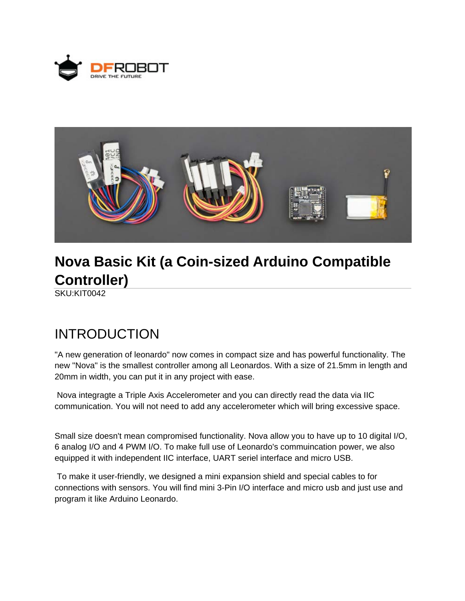



# **Nova Basic Kit (a Coin-sized Arduino Compatible Controller)**

SKU:KIT0042

#### INTRODUCTION

"A new generation of leonardo" now comes in compact size and has powerful functionality. The new "Nova" is the smallest controller among all Leonardos. With a size of 21.5mm in length and 20mm in width, you can put it in any project with ease.

 Nova integragte a Triple Axis Accelerometer and you can directly read the data via IIC communication. You will not need to add any accelerometer which will bring excessive space.

Small size doesn't mean compromised functionality. Nova allow you to have up to 10 digital I/O, 6 analog I/O and 4 PWM I/O. To make full use of Leonardo's commuincation power, we also equipped it with independent IIC interface, UART seriel interface and micro USB.

 To make it user-friendly, we designed a mini expansion shield and special cables to for connections with sensors. You will find mini 3-Pin I/O interface and micro usb and just use and program it like Arduino Leonardo.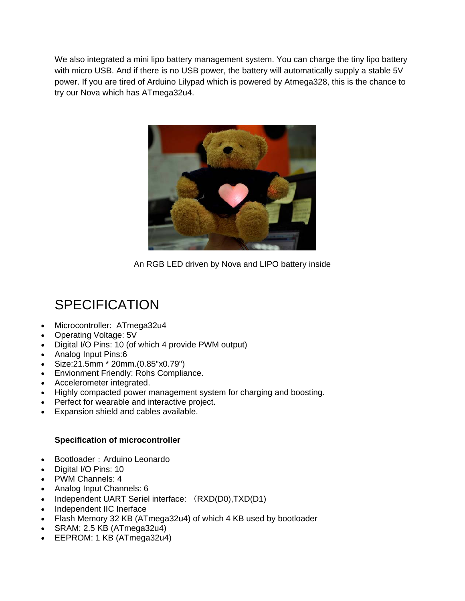We also integrated a mini lipo battery management system. You can charge the tiny lipo battery with micro USB. And if there is no USB power, the battery will automatically supply a stable 5V power. If you are tired of Arduino Lilypad which is powered by Atmega328, this is the chance to try our Nova which has ATmega32u4.



An RGB LED driven by Nova and LIPO battery inside

## **SPECIFICATION**

- Microcontroller: ATmega32u4
- Operating Voltage: 5V
- Digital I/O Pins: 10 (of which 4 provide PWM output)
- Analog Input Pins:6
- Size:21.5mm \* 20mm.(0.85"x0.79")
- Envionment Friendly: Rohs Compliance.
- Accelerometer integrated.
- Highly compacted power management system for charging and boosting.
- Perfect for wearable and interactive project.
- Expansion shield and cables available.

#### **Specification of microcontroller**

- Bootloader: Arduino Leonardo
- Digital I/O Pins: 10
- PWM Channels: 4
- Analog Input Channels: 6
- Independent UART Seriel interface: (RXD(D0),TXD(D1)
- Independent IIC Inerface
- Flash Memory 32 KB (ATmega32u4) of which 4 KB used by bootloader
- $\bullet$  SRAM: 2.5 KB (ATmega32u4)
- EEPROM: 1 KB (ATmega32u4)